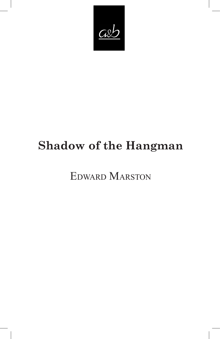

## **Shadow of the Hangman**

Edward Marston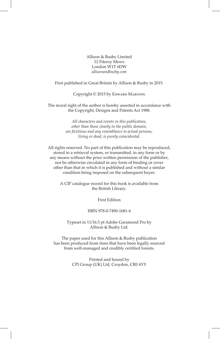Allison & Busby Limited 12 Fitzroy Mews London W1T 6DW *allisonandbusby.com*

First published in Great Britain by Allison & Busby in 2015.

Copyright © 2015 by EDWARD MARSTON

The moral right of the author is hereby asserted in accordance with the Copyright, Designs and Patents Act 1988.

> *All characters and events in this publication, other than those clearly in the public domain, are fictitious and any resemblance to actual persons, living or dead, is purely coincidental.*

All rights reserved. No part of this publication may be reproduced, stored in a retrieval system, or transmitted, in any form or by any means without the prior written permission of the publisher, nor be otherwise circulated in any form of binding or cover other than that in which it is published and without a similar condition being imposed on the subsequent buyer.

> A CIP catalogue record for this book is available from the British Library.

> > First Edition

## ISBN 978-0-7490-1681-4

Typeset in 11/16.5 pt Adobe Garamond Pro by Allison & Busby Ltd.

The paper used for this Allison & Busby publication has been produced from trees that have been legally sourced from well-managed and credibly certified forests.

> Printed and bound by CPI Group (UK) Ltd, Croydon, CR0 4YY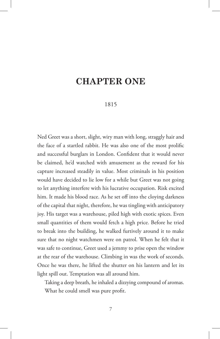## **Chapter One**

## 1815

Ned Greet was a short, slight, wiry man with long, straggly hair and the face of a startled rabbit. He was also one of the most prolific and successful burglars in London. Confident that it would never be claimed, he'd watched with amusement as the reward for his capture increased steadily in value. Most criminals in his position would have decided to lie low for a while but Greet was not going to let anything interfere with his lucrative occupation. Risk excited him. It made his blood race. As he set off into the cloying darkness of the capital that night, therefore, he was tingling with anticipatory joy. His target was a warehouse, piled high with exotic spices. Even small quantities of them would fetch a high price. Before he tried to break into the building, he walked furtively around it to make sure that no night watchmen were on patrol. When he felt that it was safe to continue, Greet used a jemmy to prise open the window at the rear of the warehouse. Climbing in was the work of seconds. Once he was there, he lifted the shutter on his lantern and let its light spill out. Temptation was all around him.

Taking a deep breath, he inhaled a dizzying compound of aromas. What he could smell was pure profit.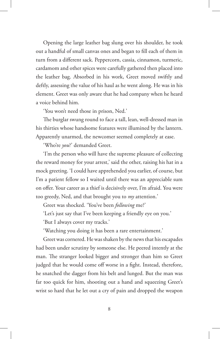Opening the large leather bag slung over his shoulder, he took out a handful of small canvas ones and began to fill each of them in turn from a different sack. Peppercorn, cassia, cinnamon, turmeric, cardamom and other spices were carefully gathered then placed into the leather bag. Absorbed in his work, Greet moved swiftly and deftly, assessing the value of his haul as he went along. He was in his element. Greet was only aware that he had company when he heard a voice behind him.

'You won't need those in prison, Ned.'

The burglar swung round to face a tall, lean, well-dressed man in his thirties whose handsome features were illumined by the lantern. Apparently unarmed, the newcomer seemed completely at ease.

'Who're *you*?' demanded Greet.

'I'm the person who will have the supreme pleasure of collecting the reward money for your arrest,' said the other, raising his hat in a mock greeting. 'I could have apprehended you earlier, of course, but I'm a patient fellow so I waited until there was an appreciable sum on offer. Your career as a thief is decisively over, I'm afraid. You were too greedy, Ned, and that brought you to *my* attention.'

Greet was shocked. 'You've been *following* me?'

'Let's just say that I've been keeping a friendly eye on you.'

'But I always cover my tracks.'

'Watching you doing it has been a rare entertainment.'

Greet was cornered. He was shaken by the news that his escapades had been under scrutiny by someone else. He peered intently at the man. The stranger looked bigger and stronger than him so Greet judged that he would come off worse in a fight. Instead, therefore, he snatched the dagger from his belt and lunged. But the man was far too quick for him, shooting out a hand and squeezing Greet's wrist so hard that he let out a cry of pain and dropped the weapon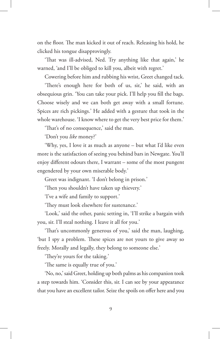on the floor. The man kicked it out of reach. Releasing his hold, he clicked his tongue disapprovingly.

'That was ill-advised, Ned. Try anything like that again,' he warned, 'and I'll be obliged to kill you, albeit with regret.'

Cowering before him and rubbing his wrist, Greet changed tack.

'There's enough here for both of us, sir,' he said, with an obsequious grin. 'You can take your pick. I'll help you fill the bags. Choose wisely and we can both get away with a small fortune. Spices are rich pickings.' He added with a gesture that took in the whole warehouse. 'I know where to get the very best price for them.'

'That's of no consequence,' said the man.

'Don't you *like* money?'

'Why, yes, I love it as much as anyone – but what I'd like even more is the satisfaction of seeing you behind bars in Newgate. You'll enjoy different odours there, I warrant – some of the most pungent engendered by your own miserable body.'

Greet was indignant. 'I don't belong in prison.'

'Then you shouldn't have taken up thievery.'

'I've a wife and family to support.'

'They must look elsewhere for sustenance.'

'Look,' said the other, panic setting in, 'I'll strike a bargain with you, sir. I'll steal nothing. I leave it all for you.'

'That's uncommonly generous of you,' said the man, laughing, 'but I spy a problem. These spices are not yours to give away so freely. Morally and legally, they belong to someone else.'

'They're yours for the taking.'

'The same is equally true of you.'

'No, no,' said Greet, holding up both palms as his companion took a step towards him. 'Consider this, sir. I can see by your appearance that you have an excellent tailor. Seize the spoils on offer here and you